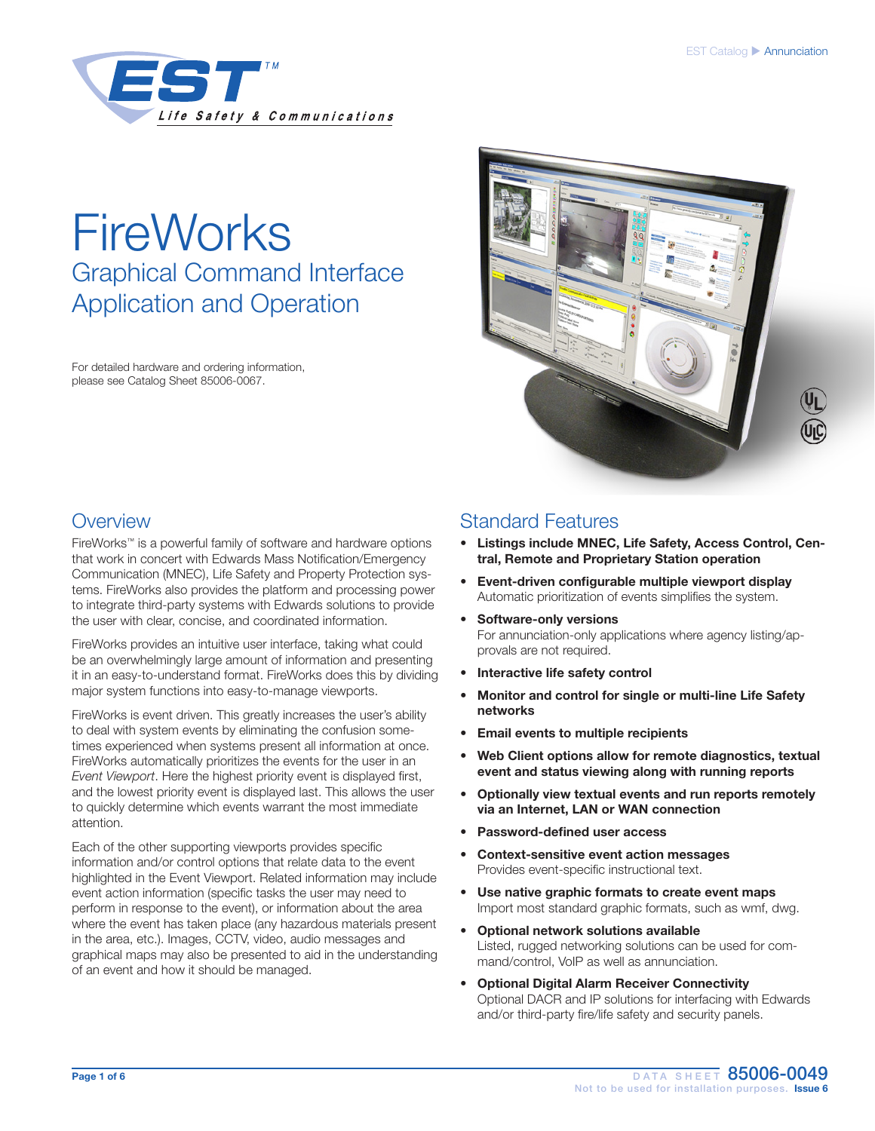

# **FireWorks** Graphical Command Interface Application and Operation

For detailed hardware and ordering information, please see Catalog Sheet 85006-0067.



### **Overview**

FireWorks™ is a powerful family of software and hardware options that work in concert with Edwards Mass Notification/Emergency Communication (MNEC), Life Safety and Property Protection systems. FireWorks also provides the platform and processing power to integrate third-party systems with Edwards solutions to provide the user with clear, concise, and coordinated information.

FireWorks provides an intuitive user interface, taking what could be an overwhelmingly large amount of information and presenting it in an easy-to-understand format. FireWorks does this by dividing major system functions into easy-to-manage viewports.

FireWorks is event driven. This greatly increases the user's ability to deal with system events by eliminating the confusion sometimes experienced when systems present all information at once. FireWorks automatically prioritizes the events for the user in an *Event Viewport*. Here the highest priority event is displayed first, and the lowest priority event is displayed last. This allows the user to quickly determine which events warrant the most immediate attention.

Each of the other supporting viewports provides specific information and/or control options that relate data to the event highlighted in the Event Viewport. Related information may include event action information (specific tasks the user may need to perform in response to the event), or information about the area where the event has taken place (any hazardous materials present in the area, etc.). Images, CCTV, video, audio messages and graphical maps may also be presented to aid in the understanding of an event and how it should be managed.

### Standard Features

- Listings include MNEC, Life Safety, Access Control, Central, Remote and Proprietary Station operation
- Event-driven configurable multiple viewport display Automatic prioritization of events simplifies the system.
- Software-only versions For annunciation-only applications where agency listing/approvals are not required.
- Interactive life safety control
- Monitor and control for single or multi-line Life Safety networks
- Email events to multiple recipients
- Web Client options allow for remote diagnostics, textual event and status viewing along with running reports
- Optionally view textual events and run reports remotely via an Internet, LAN or WAN connection
- Password-defined user access
- Context-sensitive event action messages Provides event-specific instructional text.
- Use native graphic formats to create event maps Import most standard graphic formats, such as wmf, dwg.
- Optional network solutions available Listed, rugged networking solutions can be used for command/control, VoIP as well as annunciation.
- Optional Digital Alarm Receiver Connectivity Optional DACR and IP solutions for interfacing with Edwards and/or third-party fire/life safety and security panels.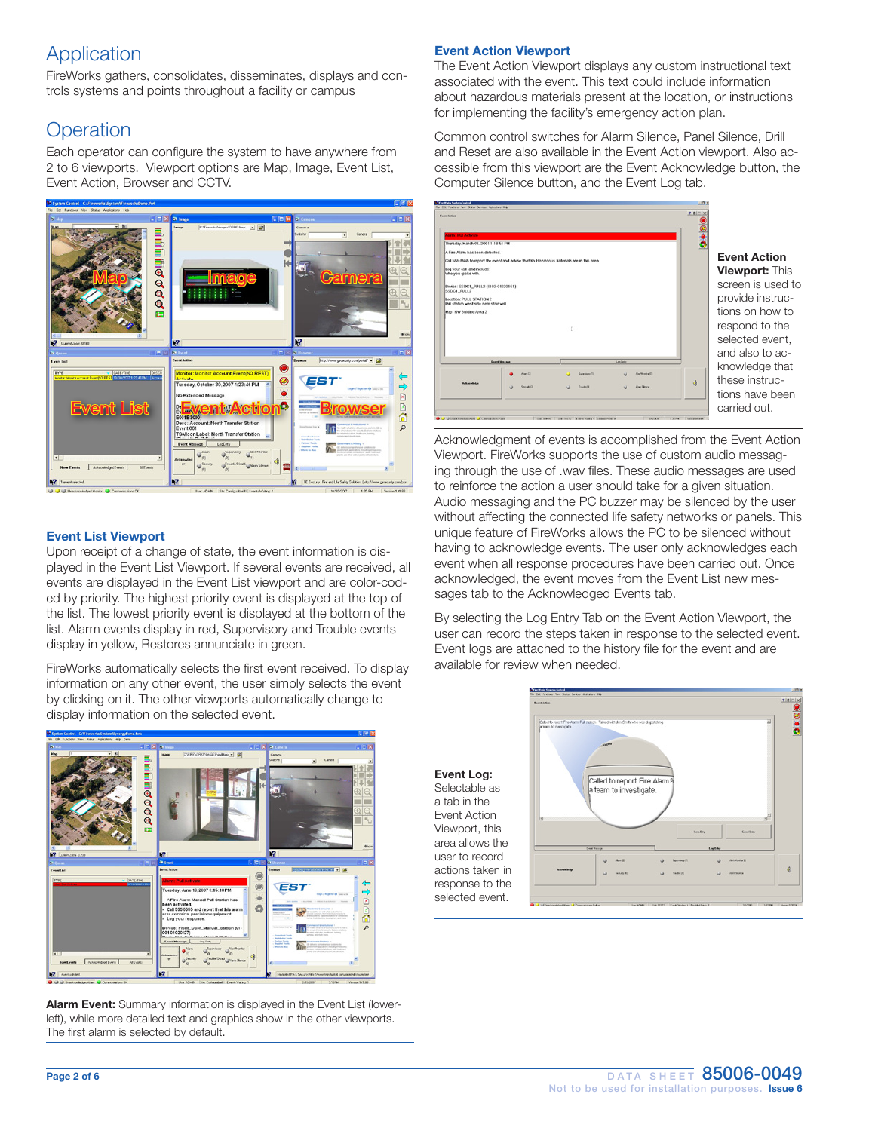# Application

FireWorks gathers, consolidates, disseminates, displays and controls systems and points throughout a facility or campus

# **Operation**

Each operator can configure the system to have anywhere from 2 to 6 viewports. Viewport options are Map, Image, Event List, Event Action, Browser and CCTV.



### Event List Viewport

Upon receipt of a change of state, the event information is displayed in the Event List Viewport. If several events are received, all events are displayed in the Event List viewport and are color-coded by priority. The highest priority event is displayed at the top of the list. The lowest priority event is displayed at the bottom of the list. Alarm events display in red, Supervisory and Trouble events display in yellow, Restores annunciate in green.

FireWorks automatically selects the first event received. To display information on any other event, the user simply selects the event by clicking on it. The other viewports automatically change to display information on the selected event.



Alarm Event: Summary information is displayed in the Event List (lowerleft), while more detailed text and graphics show in the other viewports. The first alarm is selected by default.

### Event Action Viewport

The Event Action Viewport displays any custom instructional text associated with the event. This text could include information about hazardous materials present at the location, or instructions for implementing the facility's emergency action plan.

Common control switches for Alarm Silence, Panel Silence, Drill and Reset are also available in the Event Action viewport. Also accessible from this viewport are the Event Acknowledge button, the Computer Silence button, and the Event Log tab.



Acknowledgment of events is accomplished from the Event Action Viewport. FireWorks supports the use of custom audio messaging through the use of .wav files. These audio messages are used to reinforce the action a user should take for a given situation. Audio messaging and the PC buzzer may be silenced by the user without affecting the connected life safety networks or panels. This unique feature of FireWorks allows the PC to be silenced without having to acknowledge events. The user only acknowledges each event when all response procedures have been carried out. Once acknowledged, the event moves from the Event List new messages tab to the Acknowledged Events tab.

By selecting the Log Entry Tab on the Event Action Viewport, the user can record the steps taken in response to the selected event. Event logs are attached to the history file for the event and are available for review when needed.

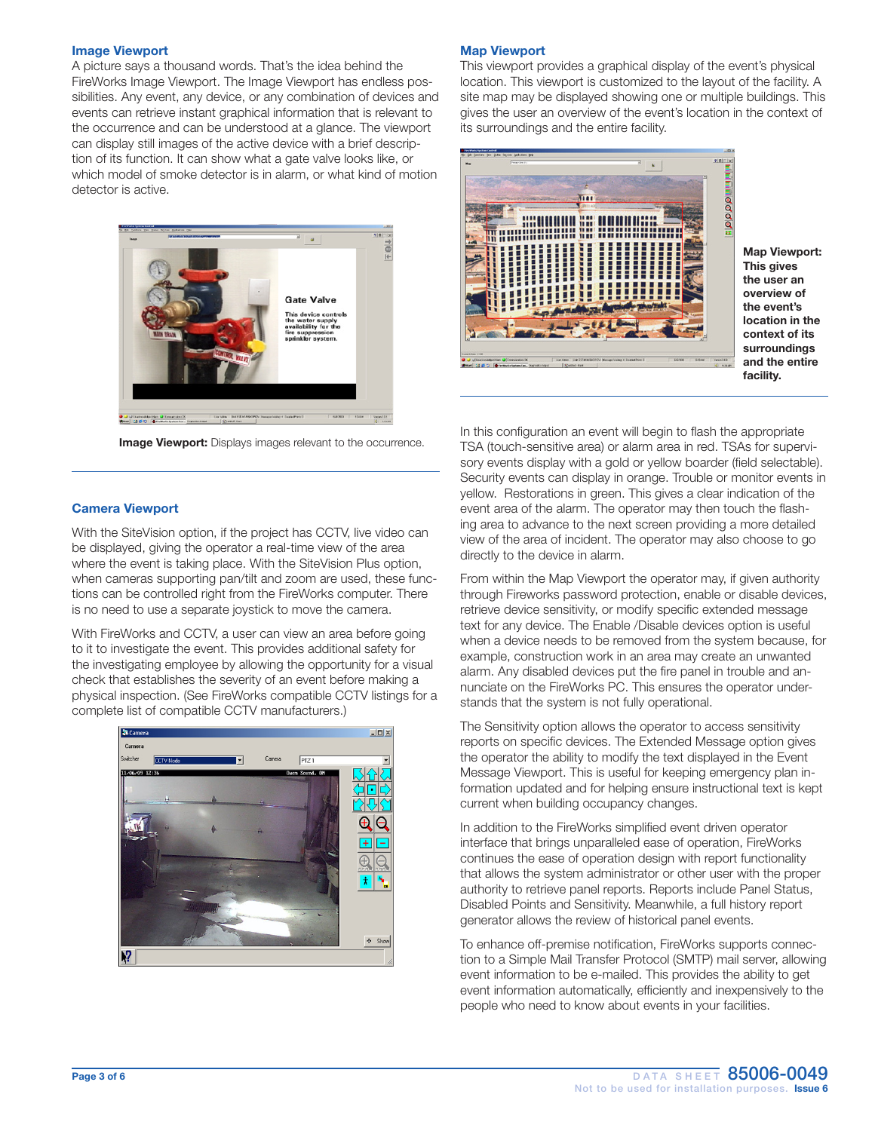#### Image Viewport

A picture says a thousand words. That's the idea behind the FireWorks Image Viewport. The Image Viewport has endless possibilities. Any event, any device, or any combination of devices and events can retrieve instant graphical information that is relevant to the occurrence and can be understood at a glance. The viewport can display still images of the active device with a brief description of its function. It can show what a gate valve looks like, or which model of smoke detector is in alarm, or what kind of motion detector is active.



**Image Viewport:** Displays images relevant to the occurrence.

#### Camera Viewport

With the SiteVision option, if the project has CCTV, live video can be displayed, giving the operator a real-time view of the area where the event is taking place. With the SiteVision Plus option, when cameras supporting pan/tilt and zoom are used, these functions can be controlled right from the FireWorks computer. There is no need to use a separate joystick to move the camera.

With FireWorks and CCTV, a user can view an area before going to it to investigate the event. This provides additional safety for the investigating employee by allowing the opportunity for a visual check that establishes the severity of an event before making a physical inspection. (See FireWorks compatible CCTV listings for a complete list of compatible CCTV manufacturers.)



#### Map Viewport

This viewport provides a graphical display of the event's physical location. This viewport is customized to the layout of the facility. A site map may be displayed showing one or multiple buildings. This gives the user an overview of the event's location in the context of its surroundings and the entire facility.



Map Viewport: This gives the user an overview of the event's location in the context of its surroundings and the entire facility.

In this configuration an event will begin to flash the appropriate TSA (touch-sensitive area) or alarm area in red. TSAs for supervisory events display with a gold or yellow boarder (field selectable). Security events can display in orange. Trouble or monitor events in yellow. Restorations in green. This gives a clear indication of the event area of the alarm. The operator may then touch the flashing area to advance to the next screen providing a more detailed view of the area of incident. The operator may also choose to go directly to the device in alarm.

From within the Map Viewport the operator may, if given authority through Fireworks password protection, enable or disable devices, retrieve device sensitivity, or modify specific extended message text for any device. The Enable /Disable devices option is useful when a device needs to be removed from the system because, for example, construction work in an area may create an unwanted alarm. Any disabled devices put the fire panel in trouble and annunciate on the FireWorks PC. This ensures the operator understands that the system is not fully operational.

The Sensitivity option allows the operator to access sensitivity reports on specific devices. The Extended Message option gives the operator the ability to modify the text displayed in the Event Message Viewport. This is useful for keeping emergency plan information updated and for helping ensure instructional text is kept current when building occupancy changes.

In addition to the FireWorks simplified event driven operator interface that brings unparalleled ease of operation, FireWorks continues the ease of operation design with report functionality that allows the system administrator or other user with the proper authority to retrieve panel reports. Reports include Panel Status, Disabled Points and Sensitivity. Meanwhile, a full history report generator allows the review of historical panel events.

To enhance off-premise notification, FireWorks supports connection to a Simple Mail Transfer Protocol (SMTP) mail server, allowing event information to be e-mailed. This provides the ability to get event information automatically, efficiently and inexpensively to the people who need to know about events in your facilities.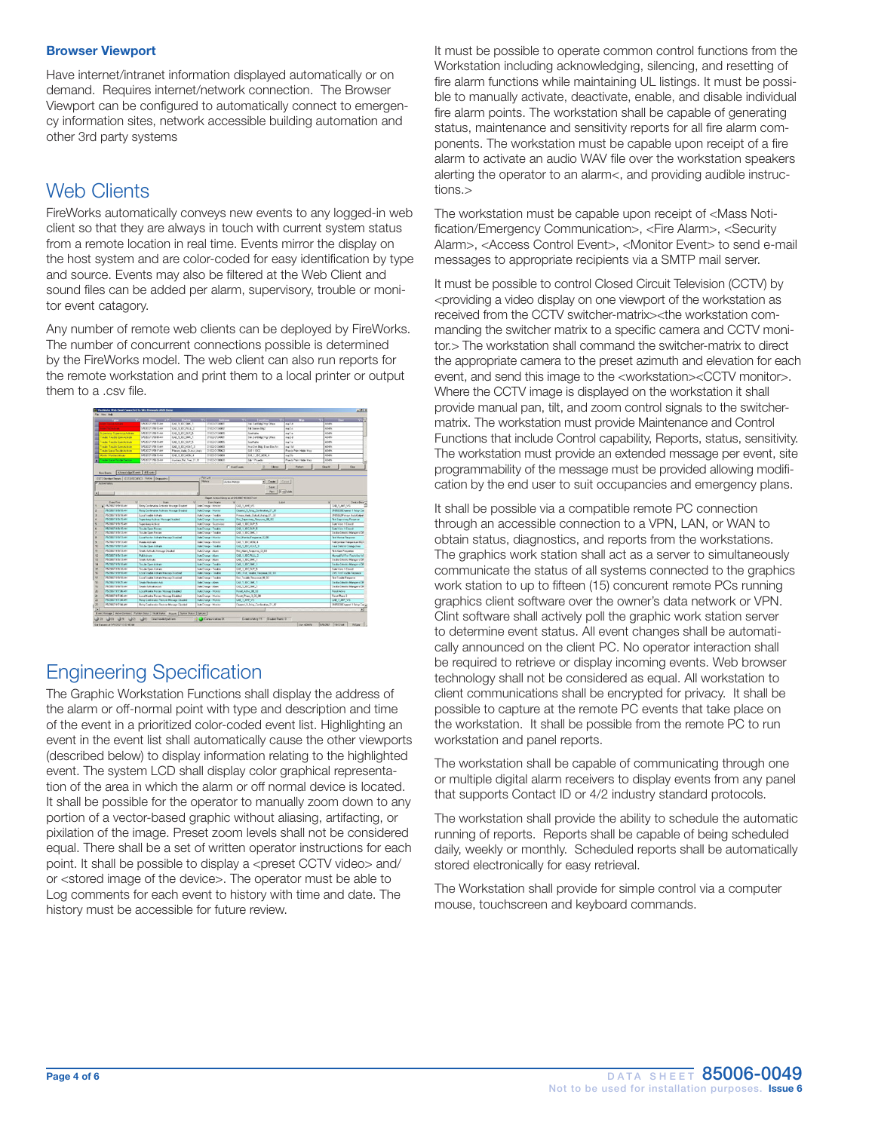#### Browser Viewport

Have internet/intranet information displayed automatically or on demand. Requires internet/network connection. The Browser Viewport can be configured to automatically connect to emergency information sites, network accessible building automation and other 3rd party systems

### Web Clients

FireWorks automatically conveys new events to any logged-in web client so that they are always in touch with current system status from a remote location in real time. Events mirror the display on the host system and are color-coded for easy identification by type and source. Events may also be filtered at the Web Client and sound files can be added per alarm, supervisory, trouble or monitor event catagory.

Any number of remote web clients can be deployed by FireWorks. The number of concurrent connections possible is determined by the FireWorks model. The web client can also run reports for the remote workstation and print them to a local printer or output them to a .csv file.



### Engineering Specification

The Graphic Workstation Functions shall display the address of the alarm or off-normal point with type and description and time of the event in a prioritized color-coded event list. Highlighting an event in the event list shall automatically cause the other viewports (described below) to display information relating to the highlighted event. The system LCD shall display color graphical representation of the area in which the alarm or off normal device is located. It shall be possible for the operator to manually zoom down to any portion of a vector-based graphic without aliasing, artifacting, or pixilation of the image. Preset zoom levels shall not be considered equal. There shall be a set of written operator instructions for each point. It shall be possible to display a <preset CCTV video> and/ or <stored image of the device>. The operator must be able to Log comments for each event to history with time and date. The history must be accessible for future review.

It must be possible to operate common control functions from the Workstation including acknowledging, silencing, and resetting of fire alarm functions while maintaining UL listings. It must be possible to manually activate, deactivate, enable, and disable individual fire alarm points. The workstation shall be capable of generating status, maintenance and sensitivity reports for all fire alarm components. The workstation must be capable upon receipt of a fire alarm to activate an audio WAV file over the workstation speakers alerting the operator to an alarm<, and providing audible instructions.>

The workstation must be capable upon receipt of <Mass Notification/Emergency Communication>, <Fire Alarm>, <Security Alarm>, <Access Control Event>, <Monitor Event> to send e-mail messages to appropriate recipients via a SMTP mail server.

It must be possible to control Closed Circuit Television (CCTV) by <providing a video display on one viewport of the workstation as received from the CCTV switcher-matrix><the workstation commanding the switcher matrix to a specific camera and CCTV monitor.> The workstation shall command the switcher-matrix to direct the appropriate camera to the preset azimuth and elevation for each event, and send this image to the <workstation><CCTV monitor>. Where the CCTV image is displayed on the workstation it shall provide manual pan, tilt, and zoom control signals to the switchermatrix. The workstation must provide Maintenance and Control Functions that include Control capability, Reports, status, sensitivity. The workstation must provide an extended message per event, site programmability of the message must be provided allowing modification by the end user to suit occupancies and emergency plans.

It shall be possible via a compatible remote PC connection through an accessible connection to a VPN, LAN, or WAN to obtain status, diagnostics, and reports from the workstations. The graphics work station shall act as a server to simultaneously communicate the status of all systems connected to the graphics work station to up to fifteen (15) concurent remote PCs running graphics client software over the owner's data network or VPN. Clint software shall actively poll the graphic work station server to determine event status. All event changes shall be automatically announced on the client PC. No operator interaction shall be required to retrieve or display incoming events. Web browser technology shall not be considered as equal. All workstation to client communications shall be encrypted for privacy. It shall be possible to capture at the remote PC events that take place on the workstation. It shall be possible from the remote PC to run workstation and panel reports.

The workstation shall be capable of communicating through one or multiple digital alarm receivers to display events from any panel that supports Contact ID or 4/2 industry standard protocols.

The workstation shall provide the ability to schedule the automatic running of reports. Reports shall be capable of being scheduled daily, weekly or monthly. Scheduled reports shall be automatically stored electronically for easy retrieval.

The Workstation shall provide for simple control via a computer mouse, touchscreen and keyboard commands.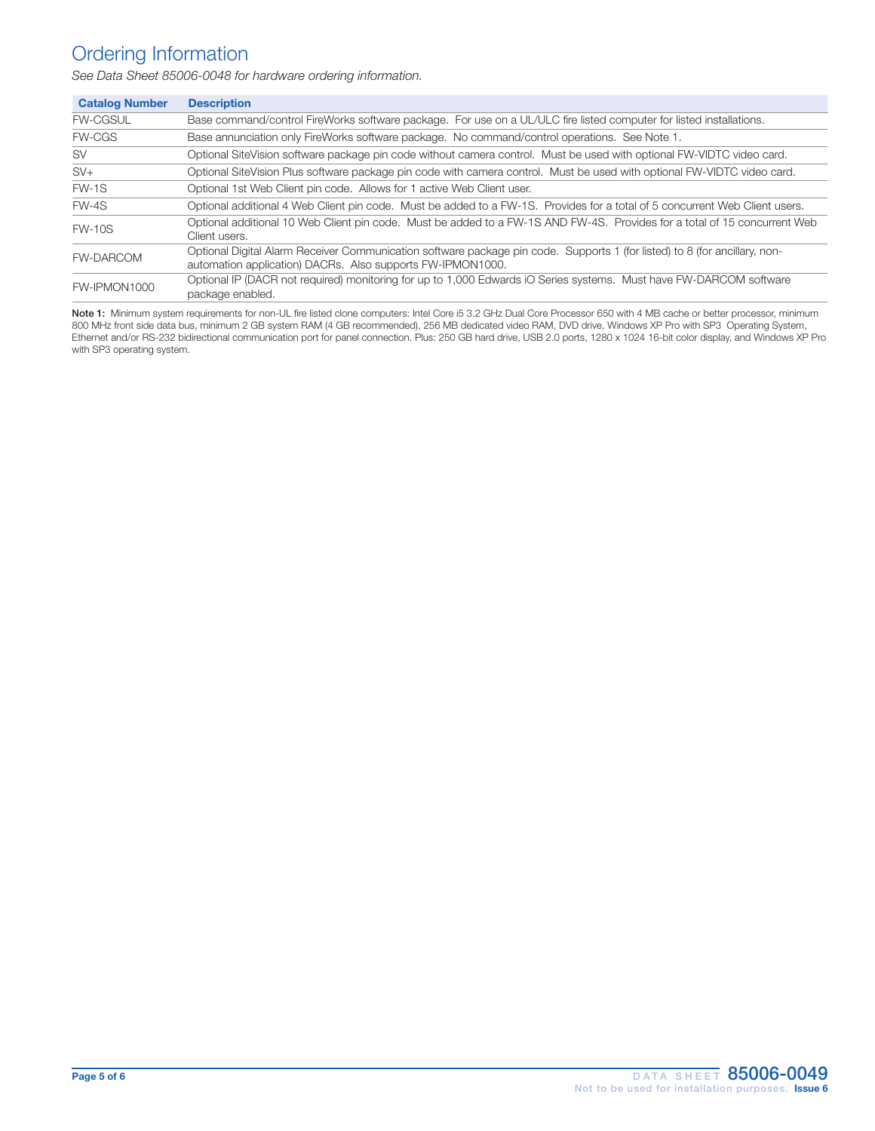### Ordering Information

*See Data Sheet 85006-0048 for hardware ordering information.*

| <b>Catalog Number</b> | <b>Description</b>                                                                                                                                                                       |
|-----------------------|------------------------------------------------------------------------------------------------------------------------------------------------------------------------------------------|
| <b>FW-CGSUL</b>       | Base command/control FireWorks software package. For use on a UL/ULC fire listed computer for listed installations.                                                                      |
| <b>FW-CGS</b>         | Base annunciation only FireWorks software package. No command/control operations. See Note 1.                                                                                            |
| <b>SV</b>             | Optional SiteVision software package pin code without camera control. Must be used with optional FW-VIDTC video card.                                                                    |
| $SV+$                 | Optional SiteVision Plus software package pin code with camera control. Must be used with optional FW-VIDTC video card.                                                                  |
| $FW-1S$               | Optional 1st Web Client pin code. Allows for 1 active Web Client user.                                                                                                                   |
| $FW-4S$               | Optional additional 4 Web Client pin code. Must be added to a FW-1S. Provides for a total of 5 concurrent Web Client users.                                                              |
| <b>FW-10S</b>         | Optional additional 10 Web Client pin code. Must be added to a FW-1S AND FW-4S. Provides for a total of 15 concurrent Web<br>Client users.                                               |
| <b>FW-DARCOM</b>      | Optional Digital Alarm Receiver Communication software package pin code. Supports 1 (for listed) to 8 (for ancillary, non-<br>automation application) DACRs. Also supports FW-IPMON1000. |
| FW-IPMON1000          | Optional IP (DACR not required) monitoring for up to 1,000 Edwards iO Series systems. Must have FW-DARCOM software<br>package enabled.                                                   |

Note 1: Minimum system requirements for non-UL fire listed clone computers: Intel Core i5 3.2 GHz Dual Core Processor 650 with 4 MB cache or better processor, minimum 800 MHz front side data bus, minimum 2 GB system RAM (4 GB recommended), 256 MB dedicated video RAM, DVD drive, Windows XP Pro with SP3 Operating System, Ethernet and/or RS-232 bidirectional communication port for panel connection. Plus: 250 GB hard drive, USB 2.0 ports, 1280 x 1024 16-bit color display, and Windows XP Pro with SP3 operating system.